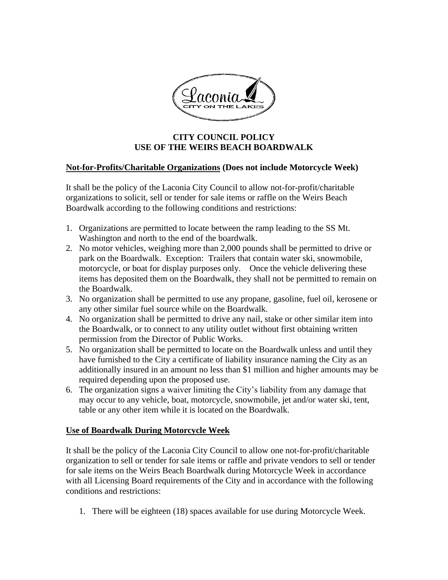

## **CITY COUNCIL POLICY USE OF THE WEIRS BEACH BOARDWALK**

## **Not-for-Profits/Charitable Organizations (Does not include Motorcycle Week)**

It shall be the policy of the Laconia City Council to allow not-for-profit/charitable organizations to solicit, sell or tender for sale items or raffle on the Weirs Beach Boardwalk according to the following conditions and restrictions:

- 1. Organizations are permitted to locate between the ramp leading to the SS Mt. Washington and north to the end of the boardwalk.
- 2. No motor vehicles, weighing more than 2,000 pounds shall be permitted to drive or park on the Boardwalk. Exception: Trailers that contain water ski, snowmobile, motorcycle, or boat for display purposes only. Once the vehicle delivering these items has deposited them on the Boardwalk, they shall not be permitted to remain on the Boardwalk.
- 3. No organization shall be permitted to use any propane, gasoline, fuel oil, kerosene or any other similar fuel source while on the Boardwalk.
- 4. No organization shall be permitted to drive any nail, stake or other similar item into the Boardwalk, or to connect to any utility outlet without first obtaining written permission from the Director of Public Works.
- 5. No organization shall be permitted to locate on the Boardwalk unless and until they have furnished to the City a certificate of liability insurance naming the City as an additionally insured in an amount no less than \$1 million and higher amounts may be required depending upon the proposed use.
- 6. The organization signs a waiver limiting the City's liability from any damage that may occur to any vehicle, boat, motorcycle, snowmobile, jet and/or water ski, tent, table or any other item while it is located on the Boardwalk.

## **Use of Boardwalk During Motorcycle Week**

It shall be the policy of the Laconia City Council to allow one not-for-profit/charitable organization to sell or tender for sale items or raffle and private vendors to sell or tender for sale items on the Weirs Beach Boardwalk during Motorcycle Week in accordance with all Licensing Board requirements of the City and in accordance with the following conditions and restrictions:

1. There will be eighteen (18) spaces available for use during Motorcycle Week.